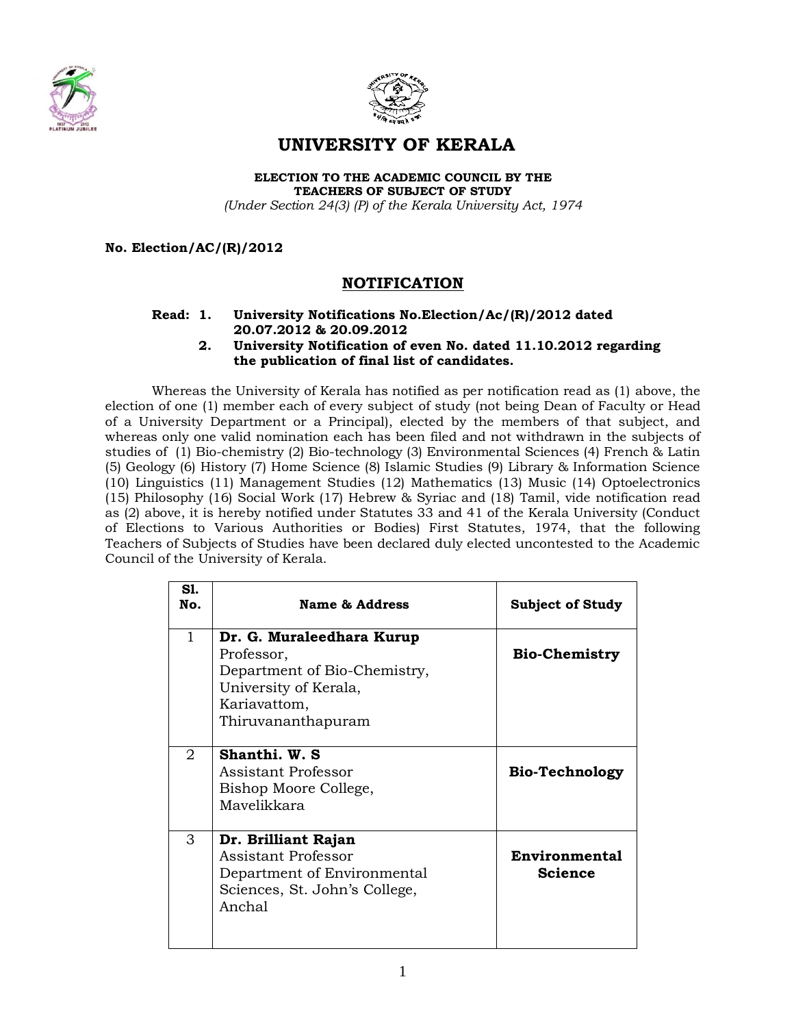



# **UNIVERSITY OF KERALA**

**ELECTION TO THE ACADEMIC COUNCIL BY THE TEACHERS OF SUBJECT OF STUDY** 

*(Under Section 24(3) (P) of the Kerala University Act, 1974*

## **No. Election/AC/(R)/2012**

# **NOTIFICATION**

#### **Read: 1. University Notifications No.Election/Ac/(R)/2012 dated 20.07.2012 & 20.09.2012**

## **2. University Notification of even No. dated 11.10.2012 regarding the publication of final list of candidates.**

Whereas the University of Kerala has notified as per notification read as (1) above, the election of one (1) member each of every subject of study (not being Dean of Faculty or Head of a University Department or a Principal), elected by the members of that subject, and whereas only one valid nomination each has been filed and not withdrawn in the subjects of studies of (1) Bio-chemistry (2) Bio-technology (3) Environmental Sciences (4) French & Latin (5) Geology (6) History (7) Home Science (8) Islamic Studies (9) Library & Information Science (10) Linguistics (11) Management Studies (12) Mathematics (13) Music (14) Optoelectronics (15) Philosophy (16) Social Work (17) Hebrew & Syriac and (18) Tamil, vide notification read as (2) above, it is hereby notified under Statutes 33 and 41 of the Kerala University (Conduct of Elections to Various Authorities or Bodies) First Statutes, 1974, that the following Teachers of Subjects of Studies have been declared duly elected uncontested to the Academic Council of the University of Kerala.

| S1.<br>No.   | Name & Address                                                                                                                         | <b>Subject of Study</b>                |
|--------------|----------------------------------------------------------------------------------------------------------------------------------------|----------------------------------------|
| $\mathbf{1}$ | Dr. G. Muraleedhara Kurup<br>Professor,<br>Department of Bio-Chemistry,<br>University of Kerala,<br>Kariavattom,<br>Thiruvananthapuram | <b>Bio-Chemistry</b>                   |
| 2            | Shanthi. W. S.<br>Assistant Professor<br>Bishop Moore College,<br>Mayelikkara                                                          | <b>Bio-Technology</b>                  |
| 3            | Dr. Brilliant Rajan<br>Assistant Professor<br>Department of Environmental<br>Sciences, St. John's College,<br>Anchal                   | <b>Environmental</b><br><b>Science</b> |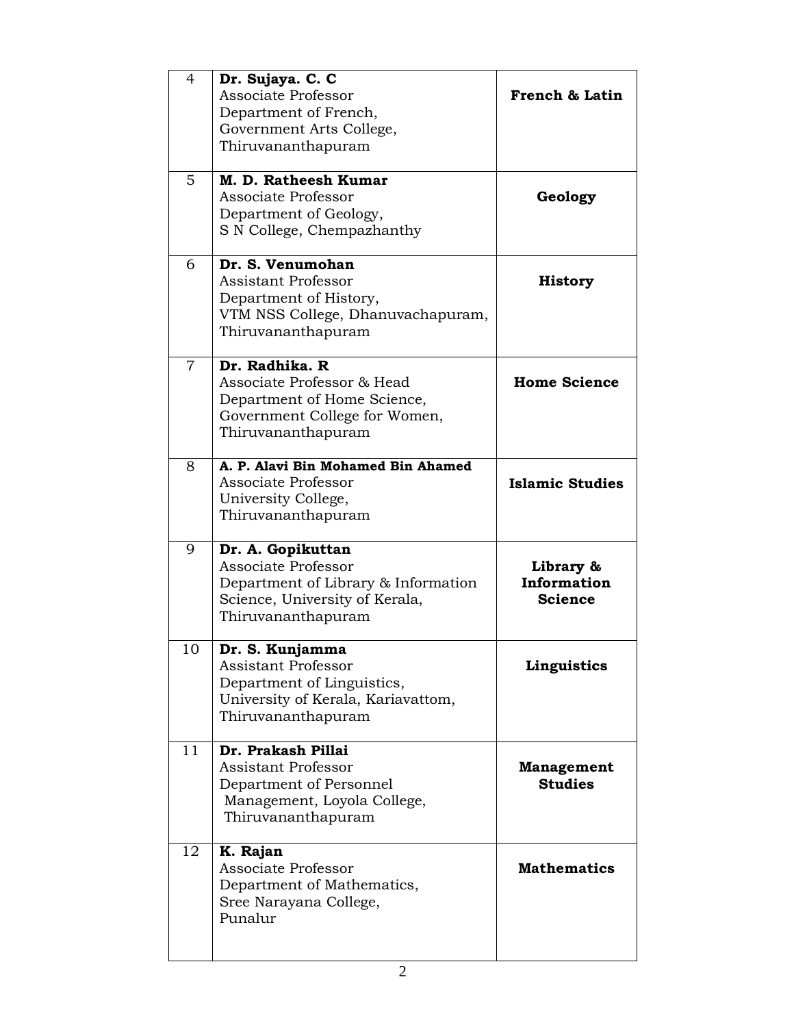| $\overline{4}$ | Dr. Sujaya. C. C<br>Associate Professor<br>Department of French,<br>Government Arts College,<br>Thiruvananthapuram<br>M. D. Ratheesh Kumar | French & Latin                             |
|----------------|--------------------------------------------------------------------------------------------------------------------------------------------|--------------------------------------------|
| 5              | Associate Professor<br>Department of Geology,<br>S N College, Chempazhanthy                                                                | Geology                                    |
| 6              | Dr. S. Venumohan<br><b>Assistant Professor</b><br>Department of History,<br>VTM NSS College, Dhanuvachapuram,<br>Thiruvananthapuram        | <b>History</b>                             |
| 7              | Dr. Radhika. R<br>Associate Professor & Head<br>Department of Home Science,<br>Government College for Women,<br>Thiruvananthapuram         | <b>Home Science</b>                        |
| 8              | A. P. Alavi Bin Mohamed Bin Ahamed<br>Associate Professor<br>University College,<br>Thiruvananthapuram                                     | <b>Islamic Studies</b>                     |
| 9              | Dr. A. Gopikuttan<br>Associate Professor<br>Department of Library & Information<br>Science, University of Kerala,<br>Thiruvananthapuram    | Library &<br>Information<br><b>Science</b> |
| 10             | Dr. S. Kunjamma<br><b>Assistant Professor</b><br>Department of Linguistics,<br>University of Kerala, Kariavattom,<br>Thiruvananthapuram    | Linguistics                                |
| 11             | Dr. Prakash Pillai<br><b>Assistant Professor</b><br>Department of Personnel<br>Management, Loyola College,<br>Thiruvananthapuram           | <b>Management</b><br><b>Studies</b>        |
| 12             | K. Rajan<br>Associate Professor<br>Department of Mathematics,<br>Sree Narayana College,<br>Punalur                                         | <b>Mathematics</b>                         |